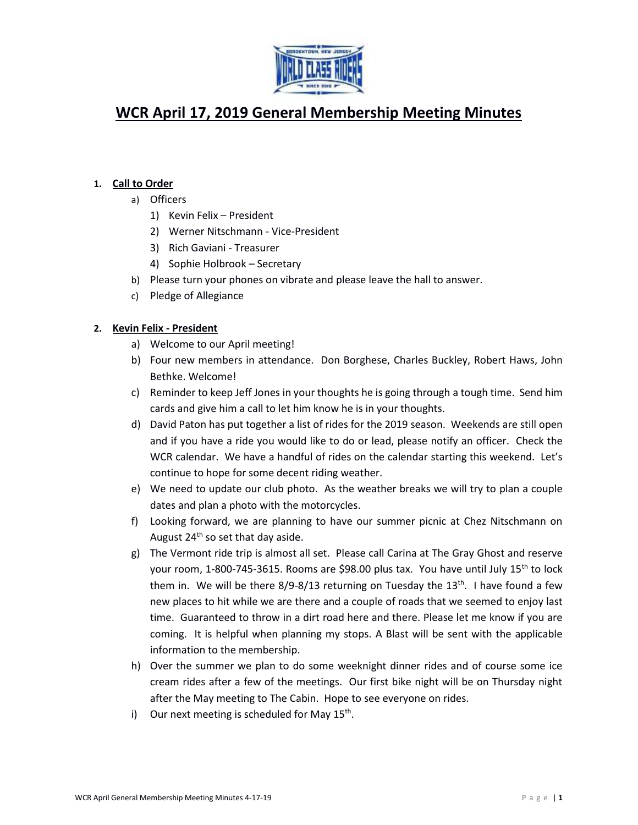

# **WCR April 17, 2019 General Membership Meeting Minutes**

## **1. Call to Order**

- a) Officers
	- 1) Kevin Felix President
	- 2) Werner Nitschmann Vice-President
	- 3) Rich Gaviani Treasurer
	- 4) Sophie Holbrook Secretary
- b) Please turn your phones on vibrate and please leave the hall to answer.
- c) Pledge of Allegiance

## **2. Kevin Felix - President**

- a) Welcome to our April meeting!
- b) Four new members in attendance. Don Borghese, Charles Buckley, Robert Haws, John Bethke. Welcome!
- c) Reminder to keep Jeff Jones in your thoughts he is going through a tough time. Send him cards and give him a call to let him know he is in your thoughts.
- d) David Paton has put together a list of rides for the 2019 season. Weekends are still open and if you have a ride you would like to do or lead, please notify an officer. Check the WCR calendar. We have a handful of rides on the calendar starting this weekend. Let's continue to hope for some decent riding weather.
- e) We need to update our club photo. As the weather breaks we will try to plan a couple dates and plan a photo with the motorcycles.
- f) Looking forward, we are planning to have our summer picnic at Chez Nitschmann on August  $24<sup>th</sup>$  so set that day aside.
- g) The Vermont ride trip is almost all set. Please call Carina at The Gray Ghost and reserve your room, 1-800-745-3615. Rooms are \$98.00 plus tax. You have until July 15<sup>th</sup> to lock them in. We will be there  $8/9$ - $8/13$  returning on Tuesday the  $13<sup>th</sup>$ . I have found a few new places to hit while we are there and a couple of roads that we seemed to enjoy last time. Guaranteed to throw in a dirt road here and there. Please let me know if you are coming. It is helpful when planning my stops. A Blast will be sent with the applicable information to the membership.
- h) Over the summer we plan to do some weeknight dinner rides and of course some ice cream rides after a few of the meetings. Our first bike night will be on Thursday night after the May meeting to The Cabin. Hope to see everyone on rides.
- i) Our next meeting is scheduled for May 15<sup>th</sup>.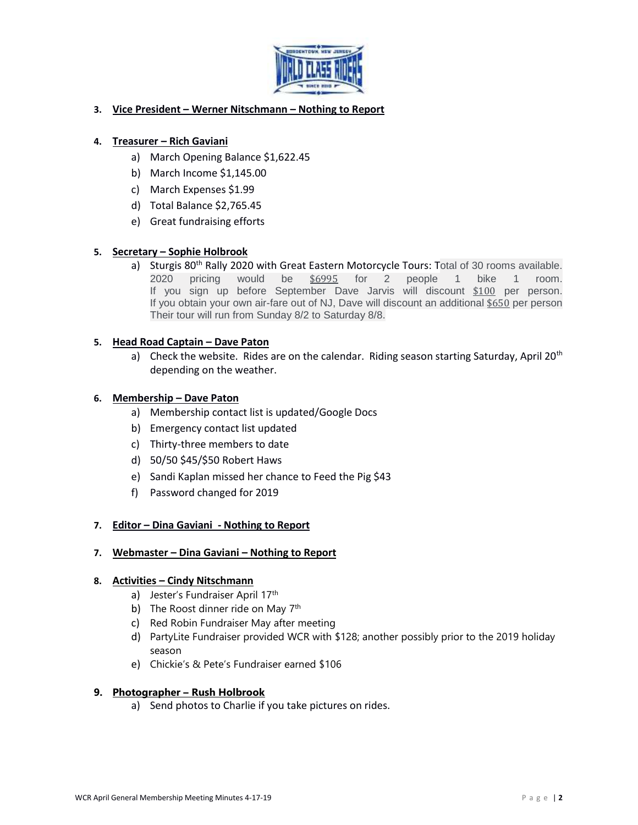

## **3. Vice President – Werner Nitschmann – Nothing to Report**

## **4. Treasurer – Rich Gaviani**

- a) March Opening Balance \$1,622.45
- b) March Income \$1,145.00
- c) March Expenses \$1.99
- d) Total Balance \$2,765.45
- e) Great fundraising efforts

# **5. Secretary – Sophie Holbrook**

a) Sturgis 80<sup>th</sup> Rally 2020 with Great Eastern Motorcycle Tours: Total of 30 rooms available. 2020 pricing would be [\\$6995](https://www.facebook.com/) for 2 people 1 bike 1 room. If you sign up before September Dave Jarvis will discount [\\$100](https://www.facebook.com/) per person. If you obtain your own air-fare out of NJ, Dave will discount an additional [\\$650](https://www.facebook.com/) per person Their tour will run from Sunday 8/2 to Saturday 8/8.

#### **5. Head Road Captain – Dave Paton**

a) Check the website. Rides are on the calendar. Riding season starting Saturday, April 20<sup>th</sup> depending on the weather.

#### **6. Membership – Dave Paton**

- a) Membership contact list is updated/Google Docs
- b) Emergency contact list updated
- c) Thirty-three members to date
- d) 50/50 \$45/\$50 Robert Haws
- e) Sandi Kaplan missed her chance to Feed the Pig \$43
- f) Password changed for 2019

#### **7. Editor – Dina Gaviani - Nothing to Report**

**7. Webmaster – Dina Gaviani – Nothing to Report**

#### **8. Activities – Cindy Nitschmann**

- a) Jester's Fundraiser April 17th
- b) The Roost dinner ride on May  $7<sup>th</sup>$
- c) Red Robin Fundraiser May after meeting
- d) PartyLite Fundraiser provided WCR with \$128; another possibly prior to the 2019 holiday season
- e) Chickie's & Pete's Fundraiser earned \$106

#### **9. Photographer – Rush Holbrook**

a) Send photos to Charlie if you take pictures on rides.